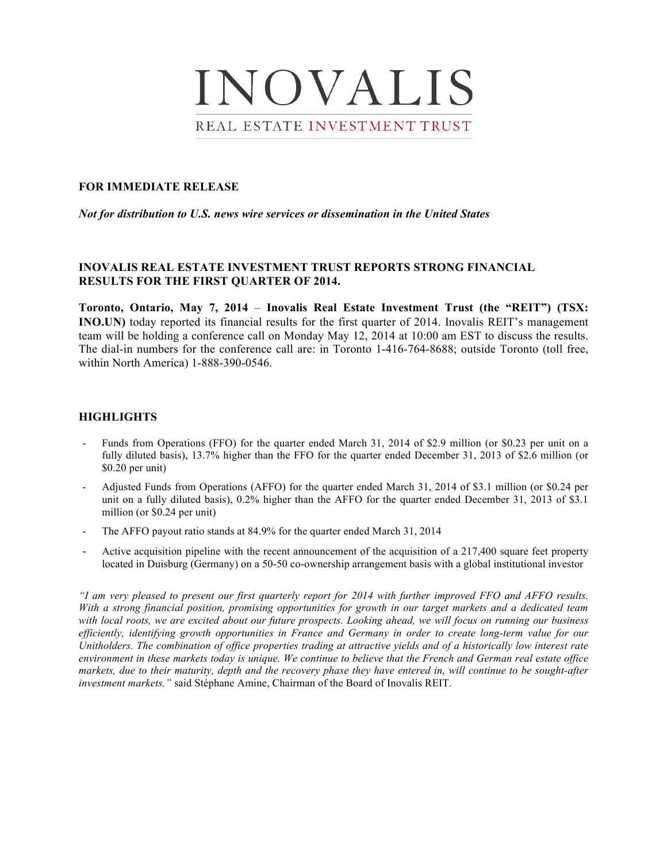# INOVALIS REAL ESTATE INVESTMENT TRUST

## **FOR IMMEDIATE RELEASE**

*Not for distribution to U.S. news wire services or dissemination in the United States*

# **INOVALIS REAL ESTATE INVESTMENT TRUST REPORTS STRONG FINANCIAL RESULTS FOR THE FIRST QUARTER OF 2014.**

**Toronto, Ontario, May 7, 2014** – **Inovalis Real Estate Investment Trust (the "REIT") (TSX: INO.UN)** today reported its financial results for the first quarter of 2014. Inovalis REIT's management team will be holding a conference call on Monday May 12, 2014 at 10:00 am EST to discuss the results. The dial-in numbers for the conference call are: in Toronto 1-416-764-8688; outside Toronto (toll free, within North America) 1-888-390-0546.

# **HIGHLIGHTS**

- Funds from Operations (FFO) for the quarter ended March 31, 2014 of \$2.9 million (or \$0.23 per unit on a fully diluted basis), 13.7% higher than the FFO for the quarter ended December 31, 2013 of \$2.6 million (or \$0.20 per unit)
- Adjusted Funds from Operations (AFFO) for the quarter ended March 31, 2014 of \$3.1 million (or \$0.24 per unit on a fully diluted basis), 0.2% higher than the AFFO for the quarter ended December 31, 2013 of \$3.1 million (or \$0.24 per unit)
- The AFFO payout ratio stands at 84.9% for the quarter ended March 31, 2014
- Active acquisition pipeline with the recent announcement of the acquisition of a 217,400 square feet property located in Duisburg (Germany) on a 50-50 co-ownership arrangement basis with a global institutional investor

*"I am very pleased to present our first quarterly report for 2014 with further improved FFO and AFFO results. With a strong financial position, promising opportunities for growth in our target markets and a dedicated team with local roots, we are excited about our future prospects. Looking ahead, we will focus on running our business efficiently, identifying growth opportunities in France and Germany in order to create long-term value for our Unitholders. The combination of office properties trading at attractive yields and of a historically low interest rate environment in these markets today is unique. We continue to believe that the French and German real estate office markets, due to their maturity, depth and the recovery phase they have entered in, will continue to be sought-after investment markets."* said Stéphane Amine, Chairman of the Board of Inovalis REIT.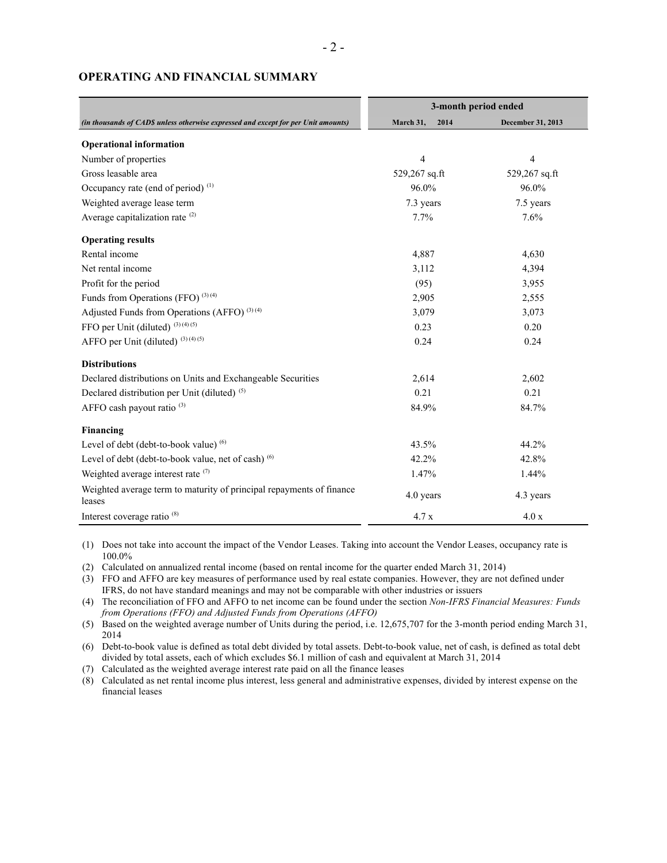|                                                                                    | 3-month period ended |                   |
|------------------------------------------------------------------------------------|----------------------|-------------------|
| (in thousands of CAD\$ unless otherwise expressed and except for per Unit amounts) | March 31,<br>2014    | December 31, 2013 |
| <b>Operational information</b>                                                     |                      |                   |
| Number of properties                                                               | $\overline{4}$       | 4                 |
| Gross leasable area                                                                | 529,267 sq.ft        | 529,267 sq.ft     |
| Occupancy rate (end of period) <sup>(1)</sup>                                      | 96.0%                | 96.0%             |
| Weighted average lease term                                                        | 7.3 years            | 7.5 years         |
| Average capitalization rate <sup>(2)</sup>                                         | 7.7%                 | 7.6%              |
| <b>Operating results</b>                                                           |                      |                   |
| Rental income                                                                      | 4,887                | 4,630             |
| Net rental income                                                                  | 3,112                | 4,394             |
| Profit for the period                                                              | (95)                 | 3,955             |
| Funds from Operations (FFO) $(3)(4)$                                               | 2,905                | 2,555             |
| Adjusted Funds from Operations (AFFO) <sup>(3)(4)</sup>                            | 3,079                | 3,073             |
| FFO per Unit (diluted) (3) (4) (5)                                                 | 0.23                 | 0.20              |
| AFFO per Unit (diluted) $(3)(4)(5)$                                                | 0.24                 | 0.24              |
| <b>Distributions</b>                                                               |                      |                   |
| Declared distributions on Units and Exchangeable Securities                        | 2,614                | 2,602             |
| Declared distribution per Unit (diluted) <sup>(5)</sup>                            | 0.21                 | 0.21              |
| AFFO cash payout ratio <sup>(3)</sup>                                              | 84.9%                | 84.7%             |
| Financing                                                                          |                      |                   |
| Level of debt (debt-to-book value) (6)                                             | 43.5%                | 44.2%             |
| Level of debt (debt-to-book value, net of cash) (6)                                | 42.2%                | 42.8%             |
| Weighted average interest rate (7)                                                 | 1.47%                | 1.44%             |
| Weighted average term to maturity of principal repayments of finance<br>leases     | 4.0 years            | 4.3 years         |
| Interest coverage ratio <sup>(8)</sup>                                             | 4.7x                 | 4.0 x             |

#### **OPERATING AND FINANCIAL SUMMARY**

(1) Does not take into account the impact of the Vendor Leases. Taking into account the Vendor Leases, occupancy rate is 100.0%

(2) Calculated on annualized rental income (based on rental income for the quarter ended March 31, 2014)

(3) FFO and AFFO are key measures of performance used by real estate companies. However, they are not defined under IFRS, do not have standard meanings and may not be comparable with other industries or issuers

(4) The reconciliation of FFO and AFFO to net income can be found under the section *Non-IFRS Financial Measures: Funds from Operations (FFO) and Adjusted Funds from Operations (AFFO)*

(5) Based on the weighted average number of Units during the period, i.e. 12,675,707 for the 3-month period ending March 31, 2014

(6) Debt-to-book value is defined as total debt divided by total assets. Debt-to-book value, net of cash, is defined as total debt divided by total assets, each of which excludes \$6.1 million of cash and equivalent at March 31, 2014

(7) Calculated as the weighted average interest rate paid on all the finance leases

(8) Calculated as net rental income plus interest, less general and administrative expenses, divided by interest expense on the financial leases